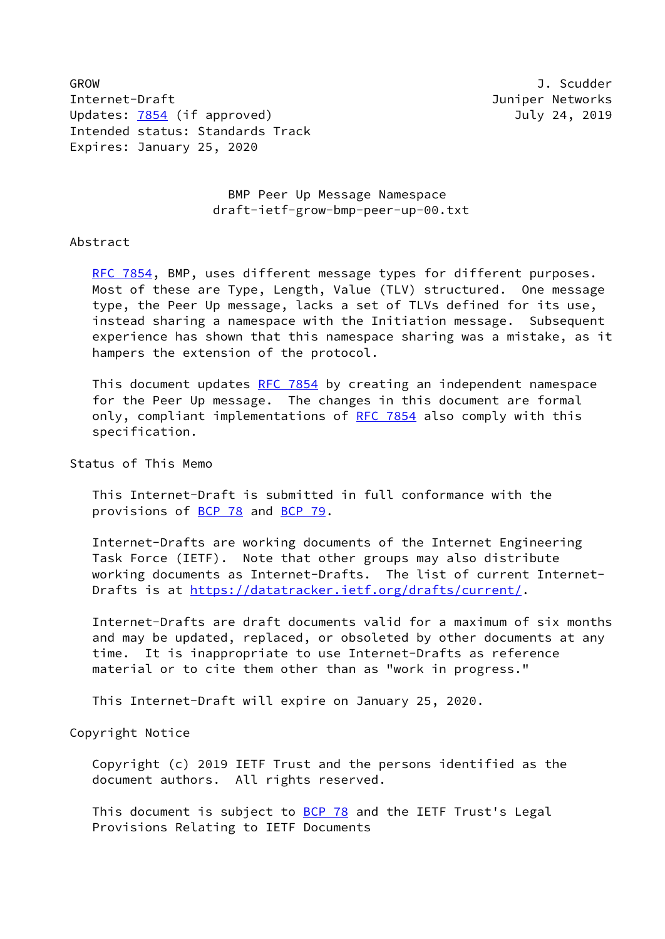GROW J. Scudder Internet-Draft Juniper Networks Updates: [7854](https://datatracker.ietf.org/doc/pdf/rfc7854) (if approved) 3uly 24, 2019 Intended status: Standards Track Expires: January 25, 2020

 BMP Peer Up Message Namespace draft-ietf-grow-bmp-peer-up-00.txt

### Abstract

[RFC 7854](https://datatracker.ietf.org/doc/pdf/rfc7854), BMP, uses different message types for different purposes. Most of these are Type, Length, Value (TLV) structured. One message type, the Peer Up message, lacks a set of TLVs defined for its use, instead sharing a namespace with the Initiation message. Subsequent experience has shown that this namespace sharing was a mistake, as it hampers the extension of the protocol.

This document updates [RFC 7854](https://datatracker.ietf.org/doc/pdf/rfc7854) by creating an independent namespace for the Peer Up message. The changes in this document are formal only, compliant implementations of [RFC 7854](https://datatracker.ietf.org/doc/pdf/rfc7854) also comply with this specification.

# Status of This Memo

 This Internet-Draft is submitted in full conformance with the provisions of [BCP 78](https://datatracker.ietf.org/doc/pdf/bcp78) and [BCP 79](https://datatracker.ietf.org/doc/pdf/bcp79).

 Internet-Drafts are working documents of the Internet Engineering Task Force (IETF). Note that other groups may also distribute working documents as Internet-Drafts. The list of current Internet- Drafts is at<https://datatracker.ietf.org/drafts/current/>.

 Internet-Drafts are draft documents valid for a maximum of six months and may be updated, replaced, or obsoleted by other documents at any time. It is inappropriate to use Internet-Drafts as reference material or to cite them other than as "work in progress."

This Internet-Draft will expire on January 25, 2020.

# Copyright Notice

 Copyright (c) 2019 IETF Trust and the persons identified as the document authors. All rights reserved.

This document is subject to **[BCP 78](https://datatracker.ietf.org/doc/pdf/bcp78)** and the IETF Trust's Legal Provisions Relating to IETF Documents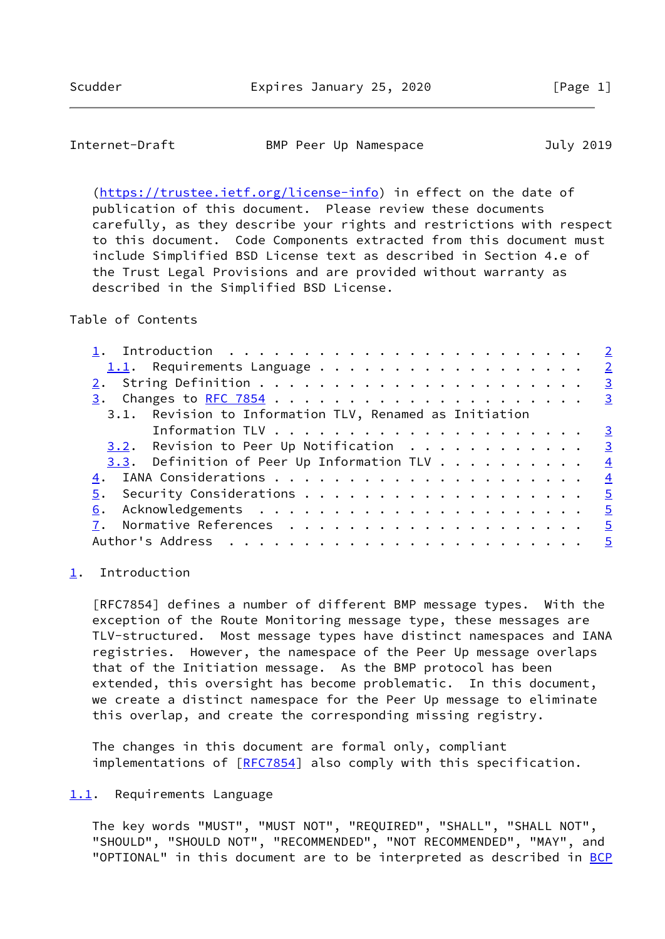### <span id="page-1-1"></span>Internet-Draft BMP Peer Up Namespace July 2019

 [\(https://trustee.ietf.org/license-info](https://trustee.ietf.org/license-info)) in effect on the date of publication of this document. Please review these documents carefully, as they describe your rights and restrictions with respect to this document. Code Components extracted from this document must include Simplified BSD License text as described in Section 4.e of the Trust Legal Provisions and are provided without warranty as described in the Simplified BSD License.

# Table of Contents

| 1.1. Requirements Language $\frac{2}{3}$                 |                         |
|----------------------------------------------------------|-------------------------|
|                                                          | $\overline{\mathbf{3}}$ |
|                                                          |                         |
| 3.1. Revision to Information TLV, Renamed as Initiation  |                         |
|                                                          | $\overline{\mathbf{3}}$ |
| <u>3.2</u> . Revision to Peer Up Notification 3          |                         |
| 3.3. Definition of Peer Up Information TLV $\frac{4}{5}$ |                         |
|                                                          |                         |
|                                                          |                         |
|                                                          |                         |
|                                                          |                         |
|                                                          |                         |
|                                                          |                         |

#### <span id="page-1-0"></span>[1](#page-1-0). Introduction

 [RFC7854] defines a number of different BMP message types. With the exception of the Route Monitoring message type, these messages are TLV-structured. Most message types have distinct namespaces and IANA registries. However, the namespace of the Peer Up message overlaps that of the Initiation message. As the BMP protocol has been extended, this oversight has become problematic. In this document, we create a distinct namespace for the Peer Up message to eliminate this overlap, and create the corresponding missing registry.

 The changes in this document are formal only, compliant implementations of [[RFC7854\]](https://datatracker.ietf.org/doc/pdf/rfc7854) also comply with this specification.

### <span id="page-1-2"></span>[1.1](#page-1-2). Requirements Language

 The key words "MUST", "MUST NOT", "REQUIRED", "SHALL", "SHALL NOT", "SHOULD", "SHOULD NOT", "RECOMMENDED", "NOT RECOMMENDED", "MAY", and "OPTIONAL" in this document are to be interpreted as described in [BCP](https://datatracker.ietf.org/doc/pdf/bcp14)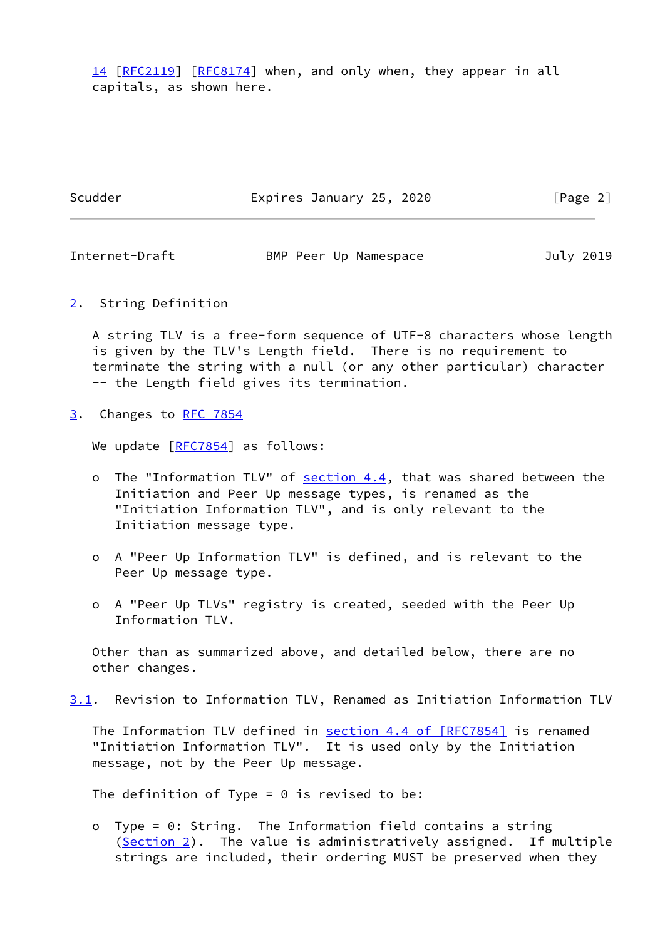[14](https://datatracker.ietf.org/doc/pdf/bcp14) [[RFC2119\]](https://datatracker.ietf.org/doc/pdf/rfc2119) [\[RFC8174](https://datatracker.ietf.org/doc/pdf/rfc8174)] when, and only when, they appear in all capitals, as shown here.

Scudder **Expires January 25, 2020** [Page 2]

<span id="page-2-1"></span>Internet-Draft BMP Peer Up Namespace July 2019

<span id="page-2-0"></span>[2](#page-2-0). String Definition

 A string TLV is a free-form sequence of UTF-8 characters whose length is given by the TLV's Length field. There is no requirement to terminate the string with a null (or any other particular) character -- the Length field gives its termination.

<span id="page-2-2"></span>[3](#page-2-2). Changes to [RFC 7854](https://datatracker.ietf.org/doc/pdf/rfc7854)

We update [[RFC7854](https://datatracker.ietf.org/doc/pdf/rfc7854)] as follows:

- o The "Information TLV" of section 4.4, that was shared between the Initiation and Peer Up message types, is renamed as the "Initiation Information TLV", and is only relevant to the Initiation message type.
- o A "Peer Up Information TLV" is defined, and is relevant to the Peer Up message type.
- o A "Peer Up TLVs" registry is created, seeded with the Peer Up Information TLV.

 Other than as summarized above, and detailed below, there are no other changes.

<span id="page-2-3"></span>[3.1](#page-2-3). Revision to Information TLV, Renamed as Initiation Information TLV

 The Information TLV defined in section [4.4 of \[RFC7854\]](https://datatracker.ietf.org/doc/pdf/rfc7854#section-4.4) is renamed "Initiation Information TLV". It is used only by the Initiation message, not by the Peer Up message.

The definition of Type =  $0$  is revised to be:

 o Type = 0: String. The Information field contains a string ([Section 2\)](#page-2-0). The value is administratively assigned. If multiple strings are included, their ordering MUST be preserved when they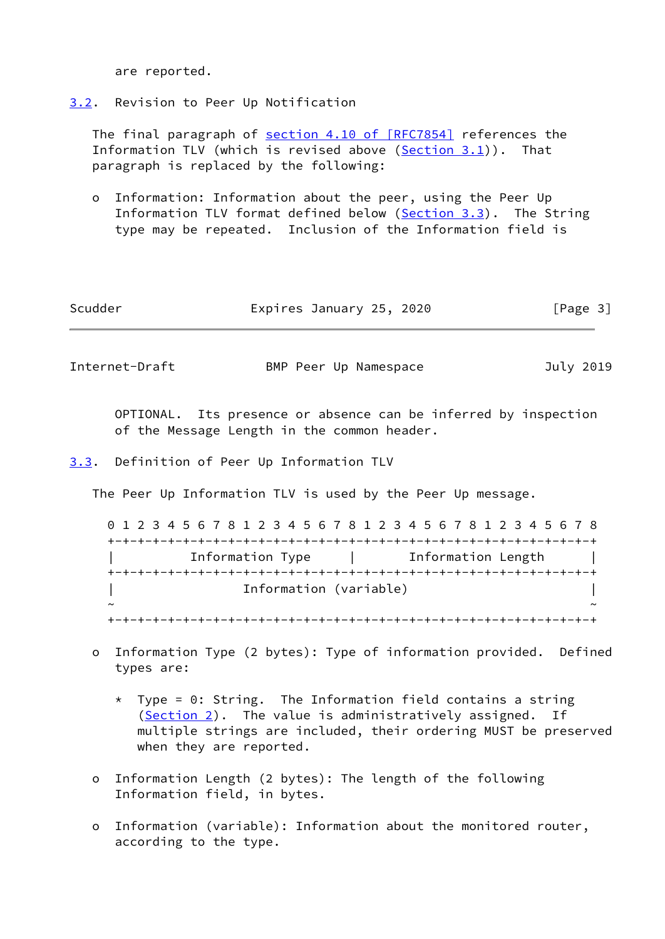are reported.

<span id="page-3-0"></span>[3.2](#page-3-0). Revision to Peer Up Notification

 The final paragraph of section [4.10 of \[RFC7854\]](https://datatracker.ietf.org/doc/pdf/rfc7854#section-4.10) references the Information TLV (which is revised above [\(Section 3.1](#page-2-3))). That paragraph is replaced by the following:

 o Information: Information about the peer, using the Peer Up Information TLV format defined below [\(Section 3.3](#page-3-1)). The String type may be repeated. Inclusion of the Information field is

| Scudder | Expires January 25, 2020 | [Page 3] |
|---------|--------------------------|----------|
|         |                          |          |

<span id="page-3-2"></span>Internet-Draft BMP Peer Up Namespace July 2019

 OPTIONAL. Its presence or absence can be inferred by inspection of the Message Length in the common header.

<span id="page-3-1"></span>[3.3](#page-3-1). Definition of Peer Up Information TLV

The Peer Up Information TLV is used by the Peer Up message.

 0 1 2 3 4 5 6 7 8 1 2 3 4 5 6 7 8 1 2 3 4 5 6 7 8 1 2 3 4 5 6 7 8 +-+-+-+-+-+-+-+-+-+-+-+-+-+-+-+-+-+-+-+-+-+-+-+-+-+-+-+-+-+-+-+-+ | Information Type | Information Length | +-+-+-+-+-+-+-+-+-+-+-+-+-+-+-+-+-+-+-+-+-+-+-+-+-+-+-+-+-+-+-+-+ | Information (variable) | ~ ~ +-+-+-+-+-+-+-+-+-+-+-+-+-+-+-+-+-+-+-+-+-+-+-+-+-+-+-+-+-+-+-+-+

- o Information Type (2 bytes): Type of information provided. Defined types are:
	- $*$  Type = 0: String. The Information field contains a string ([Section 2\)](#page-2-0). The value is administratively assigned. If multiple strings are included, their ordering MUST be preserved when they are reported.
- o Information Length (2 bytes): The length of the following Information field, in bytes.
- o Information (variable): Information about the monitored router, according to the type.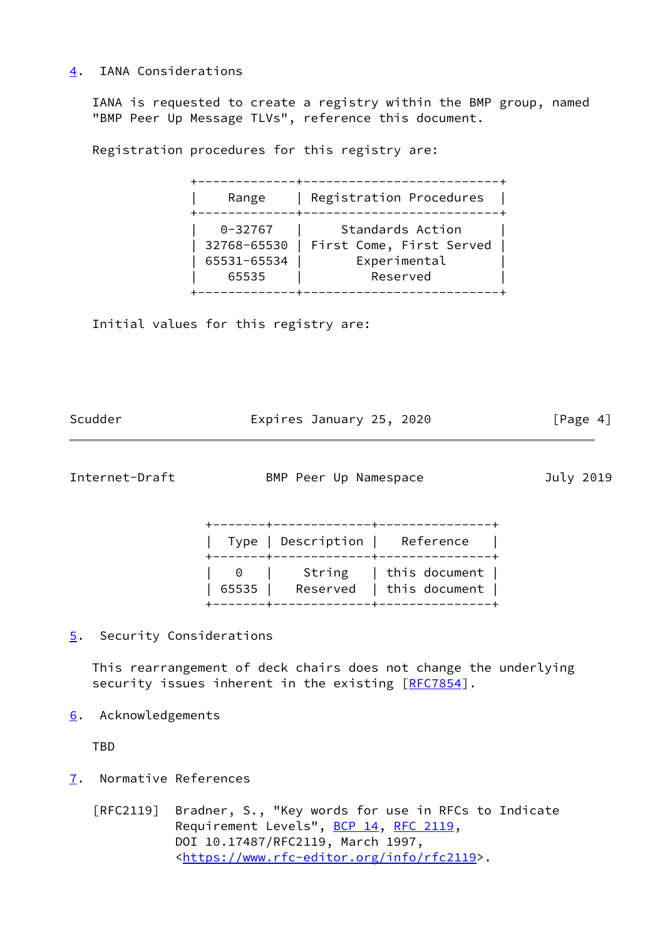# <span id="page-4-0"></span>[4](#page-4-0). IANA Considerations

 IANA is requested to create a registry within the BMP group, named "BMP Peer Up Message TLVs", reference this document.

Registration procedures for this registry are:

 +-------------+--------------------------+ | Range | Registration Procedures | +-------------+--------------------------+ 0-32767 | Standards Action | 32768-65530 | First Come, First Served | | 65531-65534 | Experimental | | 65535 | Reserved | +-------------+--------------------------+

Initial values for this registry are:

| Scudder | Expires January 25, 2020 | [Page 4] |
|---------|--------------------------|----------|

<span id="page-4-2"></span>Internet-Draft BMP Peer Up Namespace July 2019

|  | Type   Description   Reference  <br>+-------+-------------+---------------+ |  |
|--|-----------------------------------------------------------------------------|--|
|  | 65535   Reserved   this document                                            |  |

<span id="page-4-1"></span>[5](#page-4-1). Security Considerations

 This rearrangement of deck chairs does not change the underlying security issues inherent in the existing [\[RFC7854](https://datatracker.ietf.org/doc/pdf/rfc7854)].

<span id="page-4-3"></span>[6](#page-4-3). Acknowledgements

TBD

<span id="page-4-4"></span>[7](#page-4-4). Normative References

 [RFC2119] Bradner, S., "Key words for use in RFCs to Indicate Requirement Levels", [BCP 14](https://datatracker.ietf.org/doc/pdf/bcp14), [RFC 2119](https://datatracker.ietf.org/doc/pdf/rfc2119), DOI 10.17487/RFC2119, March 1997, <[https://www.rfc-editor.org/info/rfc2119>](https://www.rfc-editor.org/info/rfc2119).